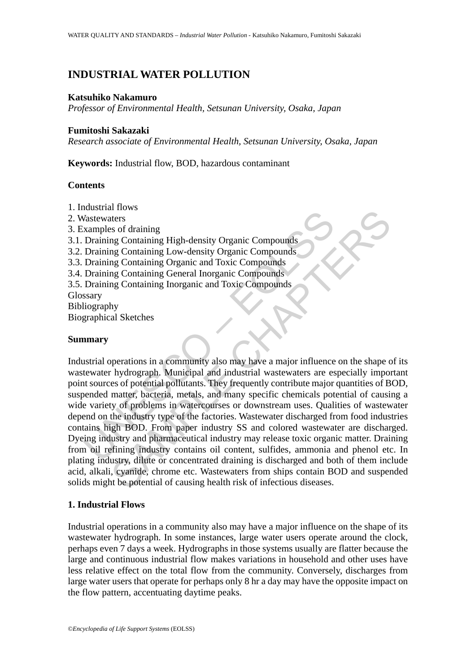# **INDUSTRIAL WATER POLLUTION**

#### **Katsuhiko Nakamuro**

*Professor of Environmental Health, Setsunan University, Osaka, Japan* 

### **Fumitoshi Sakazaki**

*Research associate of Environmental Health, Setsunan University, Osaka, Japan* 

**Keywords:** Industrial flow, BOD, hazardous contaminant

### **Contents**

- 1. Industrial flows
- 2. Wastewaters
- 3. Examples of draining
- 3.1. Draining Containing High-density Organic Compounds
- 3.2. Draining Containing Low-density Organic Compounds
- 3.3. Draining Containing Organic and Toxic Compounds
- 3.4. Draining Containing General Inorganic Compounds
- 3.5. Draining Containing Inorganic and Toxic Compounds
- Glossary
- Bibliography
- Biographical Sketches

# **Summary**

Mastewaters<br>
Xangles of draining<br>
Draining Containing High-density Organic Compounds<br>
Draining Containing Low-density Organic Compounds<br>
Draining Containing Organic and Toxic Compounds<br>
Draining Containing General Inorgani The Second Transmission of the protein of causing Containing High-density Organic Compounds<br>and Containing High-density Organic Compounds<br>and Containing Organic and Toxic Compounds<br>and Containing Ingramic and Toxic Compoun Industrial operations in a community also may have a major influence on the shape of its wastewater hydrograph. Municipal and industrial wastewaters are especially important point sources of potential pollutants. They frequently contribute major quantities of BOD, suspended matter, bacteria, metals, and many specific chemicals potential of causing a wide variety of problems in watercourses or downstream uses. Qualities of wastewater depend on the industry type of the factories. Wastewater discharged from food industries contains high BOD. From paper industry SS and colored wastewater are discharged. Dyeing industry and pharmaceutical industry may release toxic organic matter. Draining from oil refining industry contains oil content, sulfides, ammonia and phenol etc. In plating industry, dilute or concentrated draining is discharged and both of them include acid, alkali, cyanide, chrome etc. Wastewaters from ships contain BOD and suspended solids might be potential of causing health risk of infectious diseases.

# **1. Industrial Flows**

Industrial operations in a community also may have a major influence on the shape of its wastewater hydrograph. In some instances, large water users operate around the clock, perhaps even 7 days a week. Hydrographs in those systems usually are flatter because the large and continuous industrial flow makes variations in household and other uses have less relative effect on the total flow from the community. Conversely, discharges from large water users that operate for perhaps only 8 hr a day may have the opposite impact on the flow pattern, accentuating daytime peaks.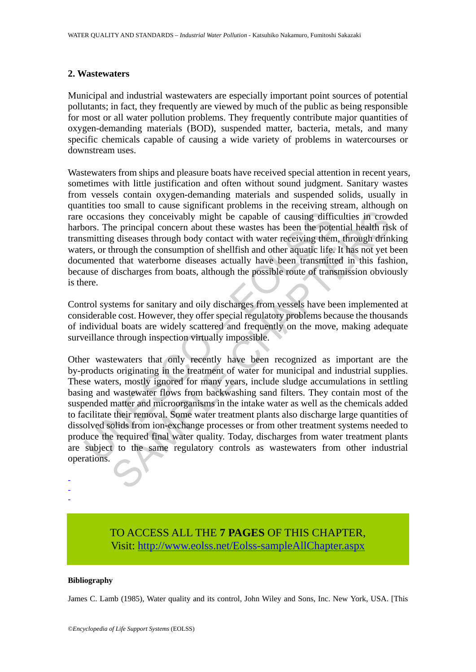#### **2. Wastewaters**

Municipal and industrial wastewaters are especially important point sources of potential pollutants; in fact, they frequently are viewed by much of the public as being responsible for most or all water pollution problems. They frequently contribute major quantities of oxygen-demanding materials (BOD), suspended matter, bacteria, metals, and many specific chemicals capable of causing a wide variety of problems in watercourses or downstream uses.

Wastewaters from ships and pleasure boats have received special attention in recent years, sometimes with little justification and often without sound judgment. Sanitary wastes from vessels contain oxygen-demanding materials and suspended solids, usually in quantities too small to cause significant problems in the receiving stream, although on rare occasions they conceivably might be capable of causing difficulties in crowded harbors. The principal concern about these wastes has been the potential health risk of transmitting diseases through body contact with water receiving them, through drinking waters, or through the consumption of shellfish and other aquatic life. It has not yet been documented that waterborne diseases actually have been transmitted in this fashion, because of discharges from boats, although the possible route of transmission obviously is there.

Control systems for sanitary and oily discharges from vessels have been implemented at considerable cost. However, they offer special regulatory problems because the thousands of individual boats are widely scattered and frequently on the move, making adequate surveillance through inspection virtually impossible.

occasions they conceivably might be capable of causing difficiors. The principal concern about these wastes has been the pote smitting diseases through hody contact with water receiving them ers, or through the consumption ions they conceivably might be capable of causing difficulties in crow eperincipal concern about these wastes has been the potential health rise is discasse shrough booth contact with water receiving them, through the cons Other wastewaters that only recently have been recognized as important are the by-products originating in the treatment of water for municipal and industrial supplies. These waters, mostly ignored for many years, include sludge accumulations in settling basing and wastewater flows from backwashing sand filters. They contain most of the suspended matter and microorganisms in the intake water as well as the chemicals added to facilitate their removal. Some water treatment plants also discharge large quantities of dissolved solids from ion-exchange processes or from other treatment systems needed to produce the required final water quality. Today, discharges from water treatment plants are subject to the same regulatory controls as wastewaters from other industrial operations.

# TO ACCESS ALL THE **7 PAGES** OF THIS CHAPTER, Visit: [http://www.eolss.net/Eolss-sampleAllChapter.aspx](https://www.eolss.net/ebooklib/sc_cart.aspx?File=E2-19-04-06)

#### **Bibliography**

- - -

James C. Lamb (1985), Water quality and its control, John Wiley and Sons, Inc. New York, USA. [This